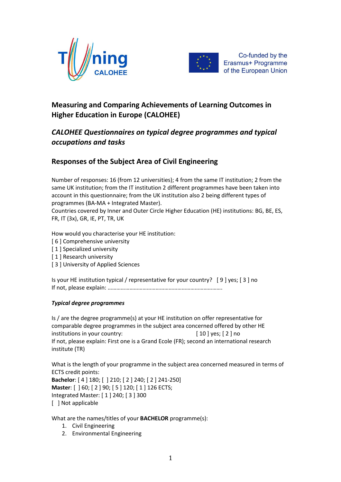



Co-funded by the Erasmus+ Programme of the European Union

# **Measuring and Comparing Achievements of Learning Outcomes in Higher Education in Europe (CALOHEE)**

## *CALOHEE Questionnaires on typical degree programmes and typical occupations and tasks*

## **Responses of the Subject Area of Civil Engineering**

Number of responses: 16 (from 12 universities); 4 from the same IT institution; 2 from the same UK institution; from the IT institution 2 different programmes have been taken into account in this questionnaire; from the UK institution also 2 being different types of programmes (BA-MA + Integrated Master).

Countries covered by Inner and Outer Circle Higher Education (HE) institutions: BG, BE, ES, FR, IT (3x), GR, IE, PT, TR, UK

How would you characterise your HE institution:

- [ 6 ] Comprehensive university
- [1] Specialized university
- [1] Research university
- [ 3 ] University of Applied Sciences

Is your HE institution typical / representative for your country? [ 9 ] yes; [ 3 ] no If not, please explain: …………………………………………………………………….

## *Typical degree programmes*

Is / are the degree programme(s) at your HE institution on offer representative for comparable degree programmes in the subject area concerned offered by other HE institutions in your country:  $[10]$  yes; [2] no If not, please explain: First one is a Grand Ecole (FR); second an international research institute (TR)

What is the length of your programme in the subject area concerned measured in terms of ECTS credit points: **Bachelor**: [ 4 ] 180; [ ] 210; [ 2 ] 240; [ 2 ] 241-250]

**Master**: [ ] 60; [ 2 ] 90; [ 5 ] 120; [ 1 ] 126 ECTS; Integrated Master: [ 1 ] 240; [ 3 ] 300 [ ] Not applicable

What are the names/titles of your **BACHELOR** programme(s):

- 1. Civil Engineering
- 2. Environmental Engineering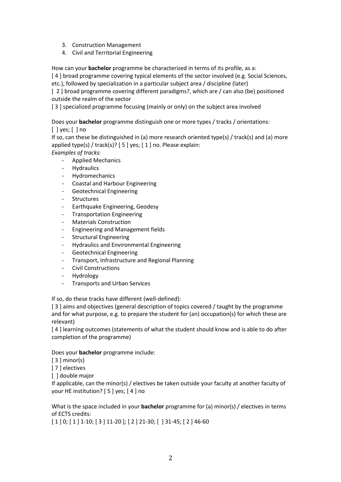- 3. Construction Management
- 4. Civil and Territorial Engineering

How can your **bachelor** programme be characterized in terms of its profile, as a:

[ 4 ] broad programme covering typical elements of the sector involved (e.g. Social Sciences,

etc.), followed by specialization in a particular subject area / discipline (later)

[ 2 ] broad programme covering different paradigms?, which are / can also (be) positioned outside the realm of the sector

[3] specialized programme focusing (mainly or only) on the subject area involved

Does your **bachelor** programme distinguish one or more types / tracks / orientations:

 $\lceil$   $\lceil$  yes;  $\lceil$   $\rceil$  no

If so, can these be distinguished in (a) more research oriented type(s) / track(s) and (a) more applied type(s) / track(s)?  $[5]$  yes;  $[1]$  no. Please explain: *Examples of tracks:*

- Applied Mechanics
- Hydraulics
- **Hydromechanics**
- Coastal and Harbour Engineering
- Geotechnical Engineering
- **Structures**
- Earthquake Engineering, Geodesy
- Transportation Engineering
- Materials Construction
- Engineering and Management fields
- Structural Engineering
- Hydraulics and Environmental Engineering
- Geotechnical Engineering
- Transport, Infrastructure and Regional Planning
- Civil Constructions
- **Hydrology**
- Transports and Urban Services

If so, do these tracks have different (well-defined):

[3] aims and objectives (general description of topics covered / taught by the programme and for what purpose, e.g. to prepare the student for (an) occupation(s) for which these are relevant)

[4] learning outcomes (statements of what the student should know and is able to do after completion of the programme)

## Does your **bachelor** programme include:

 $[3]$  minor(s)

[ 7 ] electives

[ ] double major

If applicable, can the minor(s) / electives be taken outside your faculty at another faculty of your HE institution? [ 5 ] yes; [ 4 ] no

## What is the space included in your **bachelor** programme for (a) minor(s) / electives in terms of ECTS credits:

[ 1 ] 0; [ 1 ] 1-10; [ 3 ] 11-20 ]; [ 2 ] 21-30; [ ] 31-45; [ 2 ] 46-60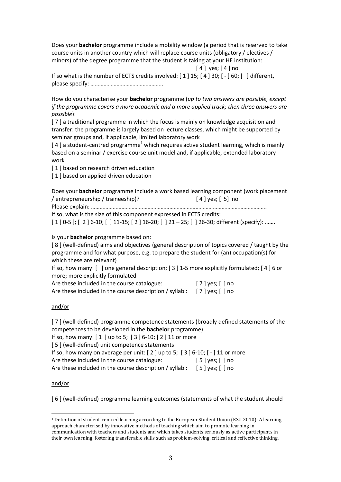Does your **bachelor** programme include a mobility window (a period that is reserved to take course units in another country which will replace course units (obligatory / electives / minors) of the degree programme that the student is taking at your HE institution:

[ 4 ] yes; [ 4 ] no

If so what is the number of ECTS credits involved: [ 1 ] 15; [ 4 ] 30; [ - ] 60; [ ] different, please specify: …………………………………………..

How do you characterise your **bachelor** programme (*up to two answers are possible, except if the programme covers a more academic and a more applied track; then three answers are possible*):

[7] a traditional programme in which the focus is mainly on knowledge acquisition and transfer: the programme is largely based on lecture classes, which might be supported by seminar groups and, if applicable, limited laboratory work

 $[4]$  a student-centred programme<sup>1</sup> which requires active student learning, which is mainly based on a seminar / exercise course unit model and, if applicable, extended laboratory work

[ 1 ] based on research driven education

[1] based on applied driven education

Does your **bachelor** programme include a work based learning component (work placement / entrepreneurship / traineeship)? [ 4 ] yes; [ 5] no

Please explain: ………………………………………………………………………………………………………….

If so, what is the size of this component expressed in ECTS credits:

[ 1 ] 0-5 ]; [ 2 ] 6-10; [ ] 11-15; [ 2 ] 16-20; [ ] 21 – 25; [ ] 26-30; different (specify): …….

Is your **bachelor** programme based on:

[ 8 ] (well-defined) aims and objectives (general description of topics covered / taught by the programme and for what purpose, e.g. to prepare the student for (an) occupation(s) for which these are relevant)

If so, how many:  $\lceil$   $\rceil$  one general description;  $\lceil 3 \rceil$  1-5 more explicitly formulated;  $\lceil 4 \rceil$  6 or more; more explicitly formulated

| Are these included in the course catalogue:             | $[7]$ yes; $[$ ] no |  |
|---------------------------------------------------------|---------------------|--|
| Are these included in the course description / syllabi: | $[7]$ yes; $[$ ] no |  |

#### and/or

[7] (well-defined) programme competence statements (broadly defined statements of the competences to be developed in the **bachelor** programme) If so, how many: [ 1 ] up to 5; [ 3 ] 6-10; [ 2 ] 11 or more [5] (well-defined) unit competence statements If so, how many on average per unit:  $[2]$  up to 5;  $[3]$  6-10;  $[-]$  11 or more

Are these included in the course catalogue: [5] yes; [] no Are these included in the course description / syllabi: [5] yes; [] no

#### and/or

[ 6 ] (well-defined) programme learning outcomes (statements of what the student should

<sup>1</sup> Definition of student-centred learning according to the European Student Union (ESU 2010): A learning approach characterised by innovative methods of teaching which aim to promote learning in communication with teachers and students and which takes students seriously as active participants in their own learning, fostering transferable skills such as problem-solving, critical and reflective thinking.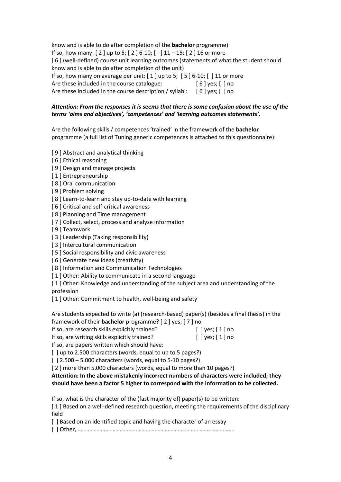know and is able to do after completion of the **bachelor** programme) If so, how many: [ 2 ] up to 5; [ 2 ] 6-10; [ - ] 11 – 15; [ 2 ] 16 or more [ 6 ] (well-defined) course unit learning outcomes (statements of what the student should know and is able to do after completion of the unit) If so, how many on average per unit: [ 1 ] up to 5; [ 5 ] 6-10; [ ] 11 or more Are these included in the course catalogue: [6] yes; [] no Are these included in the course description / syllabi:  $\begin{bmatrix} 6 \end{bmatrix}$  yes;  $\begin{bmatrix} 1 \end{bmatrix}$  no

## *Attention: From the responses it is seems that there is some confusion about the use of the terms 'aims and objectives', 'competences' and 'learning outcomes statements'.*

Are the following skills / competences 'trained' in the framework of the **bachelor** programme (a full list of Tuning generic competences is attached to this questionnaire):

- [ 9 ] Abstract and analytical thinking
- [ 6 ] Ethical reasoning
- [9] Design and manage projects
- [ 1 ] Entrepreneurship
- [ 8 ] Oral communication
- [ 9 ] Problem solving
- [8] Learn-to-learn and stay up-to-date with learning
- [ 6 ] Critical and self-critical awareness
- [ 8 ] Planning and Time management
- [ 7 ] Collect, select, process and analyse information
- [ 9 ] Teamwork
- [ 3 ] Leadership (Taking responsibility)
- [3] Intercultural communication
- [5] Social responsibility and civic awareness
- [ 6 ] Generate new ideas (creativity)
- [8] Information and Communication Technologies
- [1] Other: Ability to communicate in a second language

[ 1 ] Other: Knowledge and understanding of the subject area and understanding of the profession

[1] Other: Commitment to health, well-being and safety

Are students expected to write (a) (research-based) paper(s) (besides a final thesis) in the framework of their **bachelor** programme? [ 2 ] yes; [ 7 ] no

- If so, are research skills explicitly trained? [ ] yes; [1] no
- If so, are writing skills explicitly trained? [ ] yes; [1] no

If so, are papers written which should have:

[] up to 2.500 characters (words, equal to up to 5 pages?)

[ ] 2.500 – 5.000 characters (words, equal to 5-10 pages?)

[ 2 ] more than 5.000 characters (words, equal to more than 10 pages?)

**Attention: In the above mistakenly incorrect numbers of characters were included; they should have been a factor 5 higher to correspond with the information to be collected.** 

If so, what is the character of the (fast majority of) paper(s) to be written:

[ 1 ] Based on a well-defined research question, meeting the requirements of the disciplinary field

[] Based on an identified topic and having the character of an essay

[ ] Other,……………………………………………………………………………………………….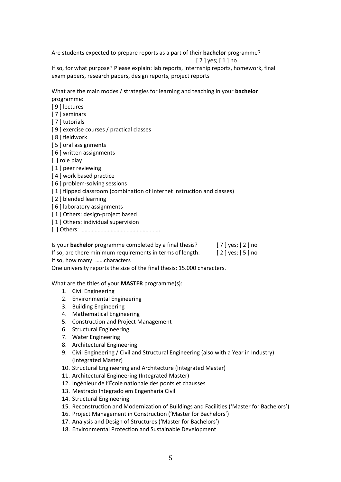Are students expected to prepare reports as a part of their **bachelor** programme?

[ 7 ] yes; [ 1 ] no

If so, for what purpose? Please explain: lab reports, internship reports, homework, final exam papers, research papers, design reports, project reports

What are the main modes / strategies for learning and teaching in your **bachelor**  programme:

[ 9 ] lectures

[ 7 ] seminars

[ 7 ] tutorials

[ 9 ] exercise courses / practical classes

[ 8 ] fieldwork

[ 5 ] oral assignments

[ 6 ] written assignments

[ ] role play

[1] peer reviewing

[4] work based practice

[ 6 ] problem-solving sessions

[1] flipped classroom (combination of Internet instruction and classes)

[2] blended learning

[6] laboratory assignments

[1] Others: design-project based

[1] Others: individual supervision

[ ] Others: ……………………………………………….

Is your **bachelor** programme completed by a final thesis? [ 7 ] yes; [ 2 ] no

If so, are there minimum requirements in terms of length: [2] yes; [5] no

If so, how many: ……characters

One university reports the size of the final thesis: 15.000 characters.

What are the titles of your **MASTER** programme(s):

- 1. Civil Engineering
- 2. Environmental Engineering
- 3. Building Engineering
- 4. Mathematical Engineering
- 5. Construction and Project Management
- 6. Structural Engineering
- 7. Water Engineering
- 8. Architectural Engineering
- 9. Civil Engineering / Civil and Structural Engineering (also with a Year in Industry) (Integrated Master)
- 10. Structural Engineering and Architecture (Integrated Master)
- 11. Architectural Engineering (Integrated Master)
- 12. Ingénieur de l'École nationale des ponts et chausses
- 13. Mestrado Integrado em Engenharia Civil
- 14. Structural Engineering
- 15. Reconstruction and Modernization of Buildings and Facilities ('Master for Bachelors')
- 16. Project Management in Construction ('Master for Bachelors')
- 17. Analysis and Design of Structures ('Master for Bachelors')
- 18. Environmental Protection and Sustainable Development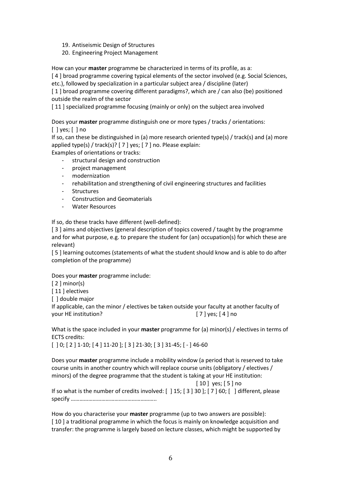- 19. Antiseismic Design of Structures
- 20. Engineering Project Management

How can your **master** programme be characterized in terms of its profile, as a:

[ 4 ] broad programme covering typical elements of the sector involved (e.g. Social Sciences,

etc.), followed by specialization in a particular subject area / discipline (later)

[1] broad programme covering different paradigms?, which are / can also (be) positioned outside the realm of the sector

[11] specialized programme focusing (mainly or only) on the subject area involved

Does your **master** programme distinguish one or more types / tracks / orientations:  $\lceil$   $\lceil$  yes;  $\lceil$   $\rceil$  no

If so, can these be distinguished in (a) more research oriented type(s) / track(s) and (a) more applied type(s) / track(s)? [ 7 ] yes; [ 7 ] no. Please explain:

Examples of orientations or tracks:

- structural design and construction
- project management
- modernization
- rehabilitation and strengthening of civil engineering structures and facilities
- **Structures**
- Construction and Geomaterials
- Water Resources

If so, do these tracks have different (well-defined):

[ 3 ] aims and objectives (general description of topics covered / taught by the programme and for what purpose, e.g. to prepare the student for (an) occupation(s) for which these are relevant)

[ 5 ] learning outcomes (statements of what the student should know and is able to do after completion of the programme)

Does your **master** programme include:

[ 2 ] minor(s)

[11] electives

[ ] double major

If applicable, can the minor / electives be taken outside your faculty at another faculty of your HE institution? [ 7 ] yes; [ 4 ] no

What is the space included in your **master** programme for (a) minor(s) / electives in terms of ECTS credits:

[ ] 0; [ 2 ] 1-10; [ 4 ] 11-20 ]; [ 3 ] 21-30; [ 3 ] 31-45; [ - ] 46-60

Does your **master** programme include a mobility window (a period that is reserved to take course units in another country which will replace course units (obligatory / electives / minors) of the degree programme that the student is taking at your HE institution:

[ 10 ] yes; [ 5 ] no

If so what is the number of credits involved: [ ] 15; [ 3 ] 30 ]; [ 7 ] 60; [ ] different, please specify …………………………………………………..

How do you characterise your **master** programme (up to two answers are possible): [10] a traditional programme in which the focus is mainly on knowledge acquisition and transfer: the programme is largely based on lecture classes, which might be supported by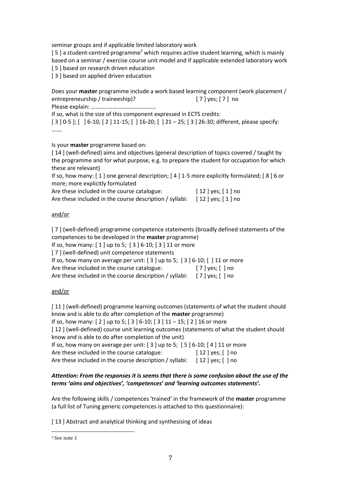seminar groups and if applicable limited laboratory work

[5] a student-centred programme<sup>2</sup> which requires active student learning, which is mainly based on a seminar / exercise course unit model and if applicable extended laboratory work [5] based on research driven education

[ 3 ] based on applied driven education

Does your **master** programme include a work based learning component (work placement / entrepreneurship / traineeship)? [7] yes; [7] no

Please explain: ………………………………………

If so, what is the size of this component expressed in ECTS credits: [ 3 ] 0-5 ]; [ ] 6-10; [ 2 ] 11-15; [ ] 16-20; [ ] 21 – 25; [ 3 ] 26-30; different, please specify: …….

Is your **master** programme based on:

[14] (well-defined) aims and objectives (general description of topics covered / taught by the programme and for what purpose, e.g. to prepare the student for occupation for which these are relevant)

If so, how many: [ 1 ] one general description; [ 4 ] 1-5 more explicitly formulated; [ 8 ] 6 or more; more explicitly formulated

| Are these included in the course catalogue:             | $[12]$ yes; $[1]$ no |
|---------------------------------------------------------|----------------------|
| Are these included in the course description / syllabi: | $[12]$ yes; $[1]$ no |

#### and/or

[ 7 ] (well-defined) programme competence statements (broadly defined statements of the competences to be developed in the **master** programme)

If so, how many: [ 1 ] up to 5; [ 3 ] 6-10; [ 3 ] 11 or more

[ 7 ] (well-defined) unit competence statements

If so, how many on average per unit:  $[3]$  up to 5;  $[3]$  6-10;  $[$   $]$  11 or more

Are these included in the course catalogue: [ 7 ] yes; [ ] no

Are these included in the course description / syllabi: [7] yes; [] no

## and/or

[11] (well-defined) programme learning outcomes (statements of what the student should know and is able to do after completion of the **master** programme)

If so, how many: [ 2 ] up to 5; [ 3 ] 6-10; [ 3 ] 11 – 15; [ 2 ] 16 or more

[12] (well-defined) course unit learning outcomes (statements of what the student should know and is able to do after completion of the unit)

If so, how many on average per unit:  $[3]$  up to 5;  $[5]$  6-10;  $[4]$  11 or more

Are these included in the course catalogue: [12] yes; [] no

Are these included in the course description / syllabi:  $[12]$  yes;  $[ ]$  no

#### *Attention: From the responses it is seems that there is some confusion about the use of the terms 'aims and objectives', 'competences' and 'learning outcomes statements'.*

Are the following skills / competences 'trained' in the framework of the **master** programme (a full list of Tuning generic competences is attached to this questionnaire):

[ 13 ] Abstract and analytical thinking and synthesising of ideas

 $\overline{\phantom{a}}$ 

<sup>2</sup> See note 1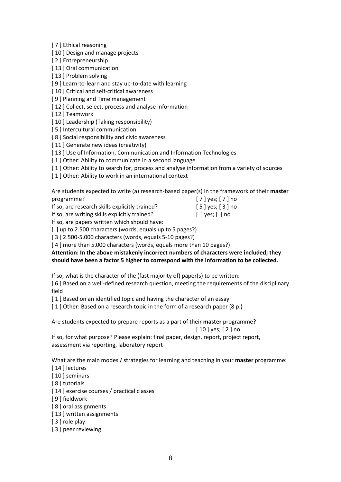[ 7 ] Ethical reasoning

[10] Design and manage projects

[ 2 ] Entrepreneurship

[13] Oral communication

[13] Problem solving

[ 9 ] Learn-to-learn and stay up-to-date with learning

[10] Critical and self-critical awareness

[ 9 ] Planning and Time management

[12] Collect, select, process and analyse information

[ 12 ] Teamwork

[10] Leadership (Taking responsibility)

[5] Intercultural communication

[8] Social responsibility and civic awareness

[11] Generate new ideas (creativity)

[13] Use of Information, Communication and Information Technologies

[1] Other: Ability to communicate in a second language

[1] Other: Ability to search for, process and analyse information from a variety of sources

[1] Other: Ability to work in an international context

Are students expected to write (a) research-based paper(s) in the framework of their **master**  programme? [ 7 ] yes; [ 7 ] no

If so, are research skills explicitly trained? [5] yes; [3] no

If so, are writing skills explicitly trained? [ ] yes; [ ] no

If so, are papers written which should have:

[] up to 2.500 characters (words, equals up to 5 pages?)

[ 3 ] 2.500-5.000 characters (words, equals 5-10 pages?)

[4] more than 5.000 characters (words, equals more than 10 pages?)

#### **Attention: In the above mistakenly incorrect numbers of characters were included; they should have been a factor 5 higher to correspond with the information to be collected.**

If so, what is the character of the (fast majority of) paper(s) to be written:

[ 6 ] Based on a well-defined research question, meeting the requirements of the disciplinary field

[1] Based on an identified topic and having the character of an essay

[1] Other: Based on a research topic in the form of a research paper (8 p.)

Are students expected to prepare reports as a part of their **master** programme? [ 10 ] yes; [ 2 ] no

If so, for what purpose? Please explain: final paper, design, report, project report, assessment via reporting, laboratory report

What are the main modes / strategies for learning and teaching in your **master** programme:

[14 ] lectures

[10] seminars

[ 8 ] tutorials

[14] exercise courses / practical classes

[ 9 ] fieldwork

[8] oral assignments

- [ 13 ] written assignments
- [ 3 ] role play

[ 3 ] peer reviewing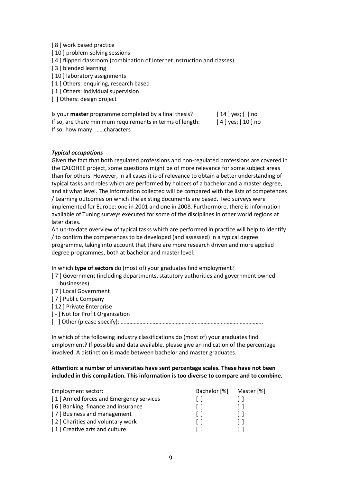- [ 8 ] work based practice
- [10] problem-solving sessions
- [4] flipped classroom (combination of Internet instruction and classes)
- [ 3 ] blended learning
- [10] laboratory assignments
- [1] Others: enquiring, research based
- [1] Others: individual supervision
- [ ] Others: design project

Is your **master** programme completed by a final thesis? [ 14 ] yes; [ ] no If so, are there minimum requirements in terms of length: [ 4 ] yes; [ 10 ] no If so, how many: ……characters

#### *Typical occupations*

Given the fact that both regulated professions and non-regulated professions are covered in the CALOHEE project, some questions might be of more relevance for some subject areas than for others. However, in all cases it is of relevance to obtain a better understanding of typical tasks and roles which are performed by holders of a bachelor and a master degree, and at what level. The information collected will be compared with the lists of competences / Learning outcomes on which the existing documents are based. Two surveys were implemented for Europe: one in 2001 and one in 2008. Furthermore, there is information available of Tuning surveys executed for some of the disciplines in other world regions at later dates.

An up-to-date overview of typical tasks which are performed in practice will help to identify / to confirm the competences to be developed (and assessed) in a typical degree programme, taking into account that there are more research driven and more applied degree programmes, both at bachelor and master level.

In which **type of sectors** do (most of) your graduates find employment?

- [ 7 ] Government (including departments, statutory authorities and government owned businesses)
- [ 7 ] Local Government
- [ 7 ] Public Company
- [12] Private Enterprise
- [ ] Not for Profit Organisation
- [ ] Other (please specify): ……………………………………………………………………………………..

In which of the following industry classifications do (most of) your graduates find employment? If possible and data available, please give an indication of the percentage involved. A distinction is made between bachelor and master graduates.

#### **Attention: a number of universities have sent percentage scales. These have not been included in this compilation. This information is too diverse to compare and to combine.**

| Employment sector:                      | Bachelor [%] | Master [%] |
|-----------------------------------------|--------------|------------|
| [1] Armed forces and Emergency services |              |            |
| [6] Banking, finance and insurance      |              |            |
| [7] Business and management             |              |            |
| [2] Charities and voluntary work        |              |            |
| [1] Creative arts and culture           |              |            |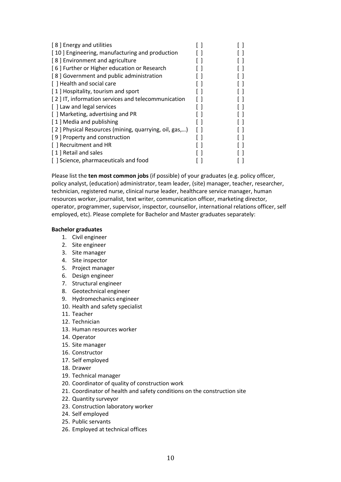| [8] Energy and utilities                              |  |
|-------------------------------------------------------|--|
| [10] Engineering, manufacturing and production        |  |
| [8] Environment and agriculture                       |  |
| [6] Further or Higher education or Research           |  |
| [8] Government and public administration              |  |
| [ ] Health and social care                            |  |
| [1] Hospitality, tourism and sport                    |  |
| [2] IT, information services and telecommunication    |  |
| [ ] Law and legal services                            |  |
| [ ] Marketing, advertising and PR                     |  |
| [1] Media and publishing                              |  |
| [2] Physical Resources (mining, quarrying, oil, gas,) |  |
| [9] Property and construction                         |  |
| [ ] Recruitment and HR                                |  |
| [1] Retail and sales                                  |  |
| [] Science, pharmaceuticals and food                  |  |

Please list the **ten most common jobs** (if possible) of your graduates (e.g. policy officer, policy analyst, (education) administrator, team leader, (site) manager, teacher, researcher, technician, registered nurse, clinical nurse leader, healthcare service manager, human resources worker, journalist, text writer, communication officer, marketing director, operator, programmer, supervisor, inspector, counsellor, international relations officer, self employed, etc). Please complete for Bachelor and Master graduates separately:

#### **Bachelor graduates**

- 1. Civil engineer
- 2. Site engineer
- 3. Site manager
- 4. Site inspector
- 5. Project manager
- 6. Design engineer
- 7. Structural engineer
- 8. Geotechnical engineer
- 9. Hydromechanics engineer
- 10. Health and safety specialist
- 11. Teacher
- 12. Technician
- 13. Human resources worker
- 14. Operator
- 15. Site manager
- 16. Constructor
- 17. Self employed
- 18. Drawer
- 19. Technical manager
- 20. Coordinator of quality of construction work
- 21. Coordinator of health and safety conditions on the construction site
- 22. Quantity surveyor
- 23. Construction laboratory worker
- 24. Self employed
- 25. Public servants
- 26. Employed at technical offices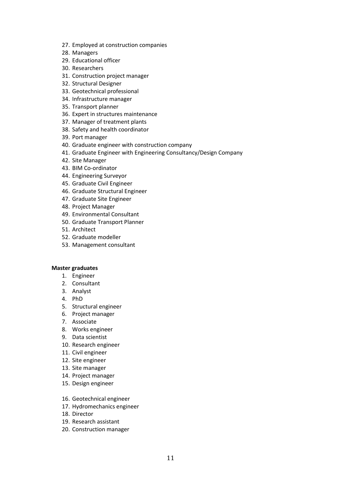- 27. Employed at construction companies
- 28. Managers
- 29. Educational officer
- 30. Researchers
- 31. Construction project manager
- 32. Structural Designer
- 33. Geotechnical professional
- 34. Infrastructure manager
- 35. Transport planner
- 36. Expert in structures maintenance
- 37. Manager of treatment plants
- 38. Safety and health coordinator
- 39. Port manager
- 40. Graduate engineer with construction company
- 41. Graduate Engineer with Engineering Consultancy/Design Company
- 42. Site Manager
- 43. BIM Co-ordinator
- 44. Engineering Surveyor
- 45. Graduate Civil Engineer
- 46. Graduate Structural Engineer
- 47. Graduate Site Engineer
- 48. Project Manager
- 49. Environmental Consultant
- 50. Graduate Transport Planner
- 51. Architect
- 52. Graduate modeller
- 53. Management consultant

#### **Master graduates**

- 1. Engineer
- 2. Consultant
- 3. Analyst
- 4. PhD
- 5. Structural engineer
- 6. Project manager
- 7. Associate
- 8. Works engineer
- 9. Data scientist
- 10. Research engineer
- 11. Civil engineer
- 12. Site engineer
- 13. Site manager
- 14. Project manager
- 15. Design engineer
- 16. Geotechnical engineer
- 17. Hydromechanics engineer
- 18. Director
- 19. Research assistant
- 20. Construction manager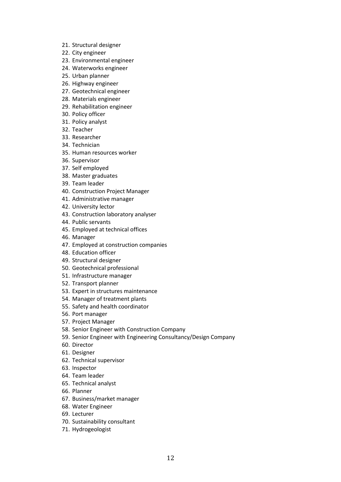- 21. Structural designer
- 22. City engineer
- 23. Environmental engineer
- 24. Waterworks engineer
- 25. Urban planner
- 26. Highway engineer
- 27. Geotechnical engineer
- 28. Materials engineer
- 29. Rehabilitation engineer
- 30. Policy officer
- 31. Policy analyst
- 32. Teacher
- 33. Researcher
- 34. Technician
- 35. Human resources worker
- 36. Supervisor
- 37. Self employed
- 38. Master graduates
- 39. Team leader
- 40. Construction Project Manager
- 41. Administrative manager
- 42. University lector
- 43. Construction laboratory analyser
- 44. Public servants
- 45. Employed at technical offices
- 46. Manager
- 47. Employed at construction companies
- 48. Education officer
- 49. Structural designer
- 50. Geotechnical professional
- 51. Infrastructure manager
- 52. Transport planner
- 53. Expert in structures maintenance
- 54. Manager of treatment plants
- 55. Safety and health coordinator
- 56. Port manager
- 57. Project Manager
- 58. Senior Engineer with Construction Company
- 59. Senior Engineer with Engineering Consultancy/Design Company
- 60. Director
- 61. Designer
- 62. Technical supervisor
- 63. Inspector
- 64. Team leader
- 65. Technical analyst
- 66. Planner
- 67. Business/market manager
- 68. Water Engineer
- 69. Lecturer
- 70. Sustainability consultant
- 71. Hydrogeologist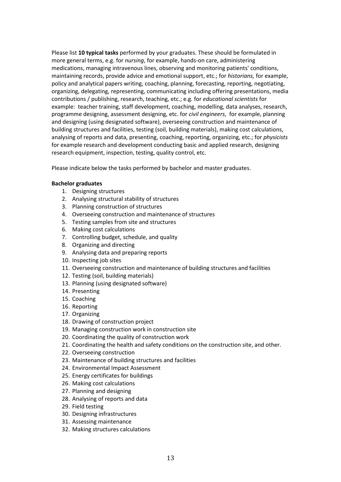Please list **10 typical tasks** performed by your graduates. These should be formulated in more general terms, e.g. for *nursing*, for example, hands-on care, administering medications, managing intravenous lines, observing and monitoring patients' conditions, maintaining records, provide advice and emotional support, etc.; for *historians,* for example, policy and analytical papers writing, coaching, planning, forecasting, reporting, negotiating, organizing, delegating, representing, communicating including offering presentations, media contributions / publishing, research, teaching, etc.; e.g. for *educational scientists* for example: teacher training, staff development, coaching, modelling, data analyses, research, programme designing, assessment designing, etc. for *civil engineers*, for example, planning and designing (using designated software), overseeing construction and maintenance of building structures and facilities, testing (soil, building materials), making cost calculations, analysing of reports and data, presenting, coaching, reporting, organizing, etc.; for *physicists* for example research and development conducting basic and applied research, designing research equipment, inspection, testing, quality control, etc.

Please indicate below the tasks performed by bachelor and master graduates.

#### **Bachelor graduates**

- 1. Designing structures
- 2. Analysing structural stability of structures
- 3. Planning construction of structures
- 4. Overseeing construction and maintenance of structures
- 5. Testing samples from site and structures
- 6. Making cost calculations
- 7. Controlling budget, schedule, and quality
- 8. Organizing and directing
- 9. Analysing data and preparing reports
- 10. Inspecting job sites
- 11. Overseeing construction and maintenance of building structures and facilities
- 12. Testing (soil, building materials)
- 13. Planning (using designated software)
- 14. Presenting
- 15. Coaching
- 16. Reporting
- 17. Organizing
- 18. Drawing of construction project
- 19. Managing construction work in construction site
- 20. Coordinating the quality of construction work
- 21. Coordinating the health and safety conditions on the construction site, and other.
- 22. Overseeing construction
- 23. Maintenance of building structures and facilities
- 24. Environmental Impact Assessment
- 25. Energy certificates for buildings
- 26. Making cost calculations
- 27. Planning and designing
- 28. Analysing of reports and data
- 29. Field testing
- 30. Designing infrastructures
- 31. Assessing maintenance
- 32. Making structures calculations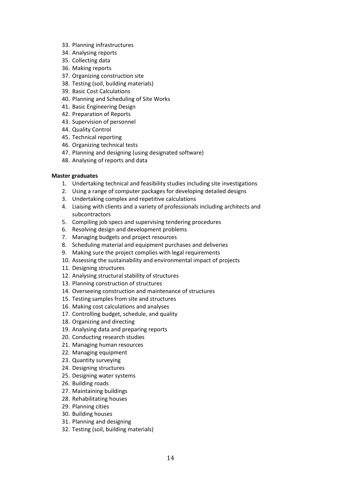- 33. Planning infrastructures
- 34. Analysing reports
- 35. Collecting data
- 36. Making reports
- 37. Organizing construction site
- 38. Testing (soil, building materials)
- 39. Basic Cost Calculations
- 40. Planning and Scheduling of Site Works
- 41. Basic Engineering Design
- 42. Preparation of Reports
- 43. Supervision of personnel
- 44. Quality Control
- 45. Technical reporting
- 46. Organizing technical tests
- 47. Planning and designing (using designated software)
- 48. Analysing of reports and data

#### **Master graduates**

- 1. Undertaking technical and feasibility studies including site investigations
- 2. Using a range of computer packages for developing detailed designs
- 3. Undertaking complex and repetitive calculations
- 4. Liaising with clients and a variety of professionals including architects and subcontractors
- 5. Compiling job specs and supervising tendering procedures
- 6. Resolving design and development problems
- 7. Managing budgets and project resources
- 8. Scheduling material and equipment purchases and deliveries
- 9. Making sure the project complies with legal requirements
- 10. Assessing the sustainability and environmental impact of projects
- 11. Designing structures
- 12. Analysing structural stability of structures
- 13. Planning construction of structures
- 14. Overseeing construction and maintenance of structures
- 15. Testing samples from site and structures
- 16. Making cost calculations and analyses
- 17. Controlling budget, schedule, and quality
- 18. Organizing and directing
- 19. Analysing data and preparing reports
- 20. Conducting research studies
- 21. Managing human resources
- 22. Managing equipment
- 23. Quantity surveying
- 24. Designing structures
- 25. Designing water systems
- 26. Building roads
- 27. Maintaining buildings
- 28. Rehabilitating houses
- 29. Planning cities
- 30. Building houses
- 31. Planning and designing
- 32. Testing (soil, building materials)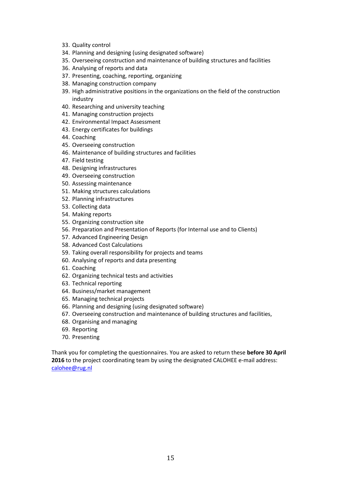- 33. Quality control
- 34. Planning and designing (using designated software)
- 35. Overseeing construction and maintenance of building structures and facilities
- 36. Analysing of reports and data
- 37. Presenting, coaching, reporting, organizing
- 38. Managing construction company
- 39. High administrative positions in the organizations on the field of the construction industry
- 40. Researching and university teaching
- 41. Managing construction projects
- 42. Environmental Impact Assessment
- 43. Energy certificates for buildings
- 44. Coaching
- 45. Overseeing construction
- 46. Maintenance of building structures and facilities
- 47. Field testing
- 48. Designing infrastructures
- 49. Overseeing construction
- 50. Assessing maintenance
- 51. Making structures calculations
- 52. Planning infrastructures
- 53. Collecting data
- 54. Making reports
- 55. Organizing construction site
- 56. Preparation and Presentation of Reports (for Internal use and to Clients)
- 57. Advanced Engineering Design
- 58. Advanced Cost Calculations
- 59. Taking overall responsibility for projects and teams
- 60. Analysing of reports and data presenting
- 61. Coaching
- 62. Organizing technical tests and activities
- 63. Technical reporting
- 64. Business/market management
- 65. Managing technical projects
- 66. Planning and designing (using designated software)
- 67. Overseeing construction and maintenance of building structures and facilities,
- 68. Organising and managing
- 69. Reporting
- 70. Presenting

Thank you for completing the questionnaires. You are asked to return these **before 30 April 2016** to the project coordinating team by using the designated CALOHEE e-mail address: [calohee@rug.nl](mailto:calohee@rug.nl)